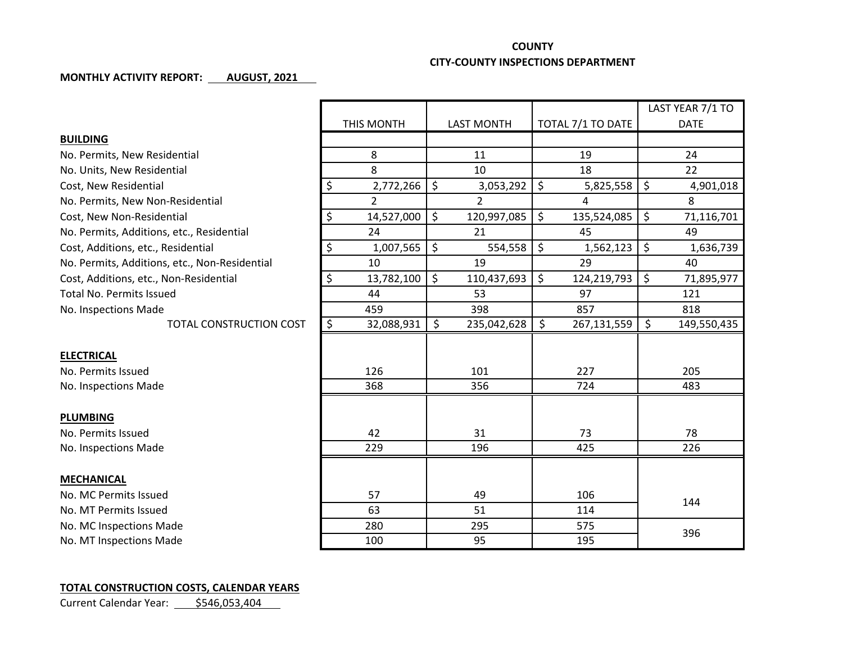## **COUNTY**

## **CITY-COUNTY INSPECTIONS DEPARTMENT**

## **MONTHLY ACTIVITY REPORT: AUGUST, 2021**

|                                               |                  |                   |                      | LAST YEAR 7/1 TO  |
|-----------------------------------------------|------------------|-------------------|----------------------|-------------------|
|                                               | THIS MONTH       | <b>LAST MONTH</b> | TOTAL 7/1 TO DATE    | <b>DATE</b>       |
| <b>BUILDING</b>                               |                  |                   |                      |                   |
| No. Permits, New Residential                  | 8                | 11                | 19                   | 24                |
| No. Units, New Residential                    | 8                | 10                | 18                   | 22                |
| Cost, New Residential                         | \$<br>2,772,266  | \$<br>3,053,292   | \$<br>5,825,558      | \$<br>4,901,018   |
| No. Permits, New Non-Residential              | $\overline{2}$   | $\overline{2}$    | 4                    | 8                 |
| Cost, New Non-Residential                     | \$<br>14,527,000 | \$<br>120,997,085 | \$<br>135,524,085    | \$<br>71,116,701  |
| No. Permits, Additions, etc., Residential     | 24               | 21                | 45                   | 49                |
| Cost, Additions, etc., Residential            | \$<br>1,007,565  | \$<br>554,558     | $\zeta$<br>1,562,123 | \$<br>1,636,739   |
| No. Permits, Additions, etc., Non-Residential | 10               | 19                | 29                   | 40                |
| Cost, Additions, etc., Non-Residential        | \$<br>13,782,100 | \$<br>110,437,693 | \$<br>124,219,793    | \$<br>71,895,977  |
| <b>Total No. Permits Issued</b>               | 44               | 53                | 97                   | 121               |
| No. Inspections Made                          | 459              | 398               | 857                  | 818               |
| <b>TOTAL CONSTRUCTION COST</b>                | \$<br>32,088,931 | \$<br>235,042,628 | \$<br>267,131,559    | \$<br>149,550,435 |
|                                               |                  |                   |                      |                   |
| <b>ELECTRICAL</b>                             |                  |                   |                      |                   |
| No. Permits Issued                            | 126              | 101               | 227                  | 205               |
| No. Inspections Made                          | 368              | 356               | 724                  | 483               |
|                                               |                  |                   |                      |                   |
| <b>PLUMBING</b>                               |                  |                   |                      |                   |
| No. Permits Issued                            | 42               | 31                | 73                   | 78                |
| No. Inspections Made                          | 229              | 196               | 425                  | 226               |
|                                               |                  |                   |                      |                   |
| <b>MECHANICAL</b>                             |                  |                   |                      |                   |
| No. MC Permits Issued                         | 57               | 49                | 106                  | 144               |
| No. MT Permits Issued                         | 63               | 51                | 114                  |                   |
| No. MC Inspections Made                       | 280              | 295               | 575                  | 396               |
| No. MT Inspections Made                       | 100              | 95                | 195                  |                   |

## **TOTAL CONSTRUCTION COSTS, CALENDAR YEARS**

Current Calendar Year: 5546,053,404